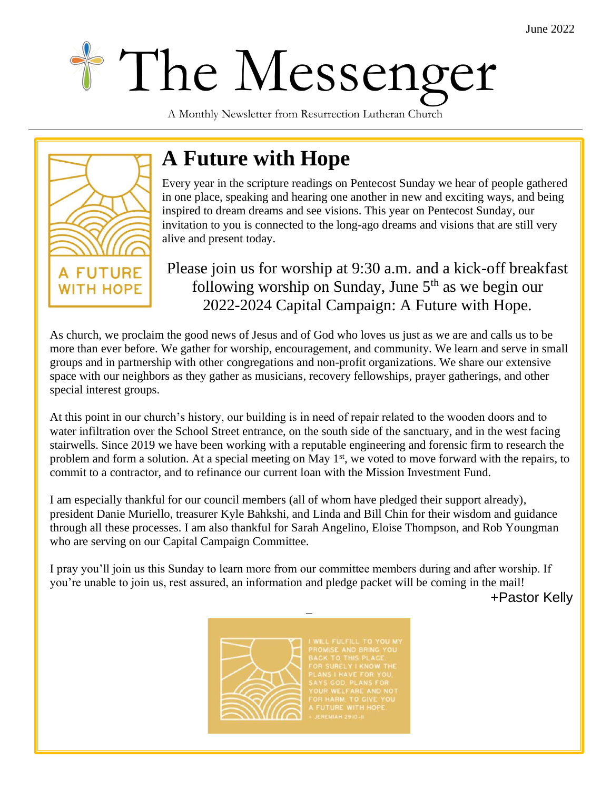# The Messenger

A Monthly Newsletter from Resurrection Lutheran Church



# **A Future with Hope**

Every year in the scripture readings on Pentecost Sunday we hear of people gathered in one place, speaking and hearing one another in new and exciting ways, and heing in one place, speaking and hearing one another in new and exciting ways, and being inspired to dream dreams and see visions. This year on Pentecost Sunday, our invitation to you is connected to the long-ago dreams and visions that are still very alive and present today.

## Please join us for worship at 9:30 a.m. and a kick-off breakfast following worship on Sunday, June  $5<sup>th</sup>$  as we begin our 2022-2024 Capital Campaign: A Future with Hope.

As church, we proclaim the good news of Jesus and of God who loves us just as we are and calls us to be more than ever before. We gather for worship, encouragement, and community. We learn and serve in small groups and in partnership with other congregations and non-profit organizations. We share our extensive space with our neighbors as they gather as musicians, recovery fellowships, prayer gatherings, and other special interest groups.

At this point in our church's history, our building is in need of repair related to the wooden doors and to water infiltration over the School Street entrance, on the south side of the sanctuary, and in the west facing stairwells. Since 2019 we have been working with a reputable engineering and forensic firm to research the problem and form a solution. At a special meeting on May  $1<sup>st</sup>$ , we voted to move forward with the repairs, to commit to a contractor, and to refinance our current loan with the Mission Investment Fund.

I am especially thankful for our council members (all of whom have pledged their support already), president Danie Muriello, treasurer Kyle Bahkshi, and Linda and Bill Chin for their wisdom and guidance through all these processes. I am also thankful for Sarah Angelino, Eloise Thompson, and Rob Youngman who are serving on our Capital Campaign Committee.

I pray you'll join us this Sunday to learn more from our committee members during and after worship. If you're unable to join us, rest assured, an information and pledge packet will be coming in the mail!

–

+Pastor Kelly

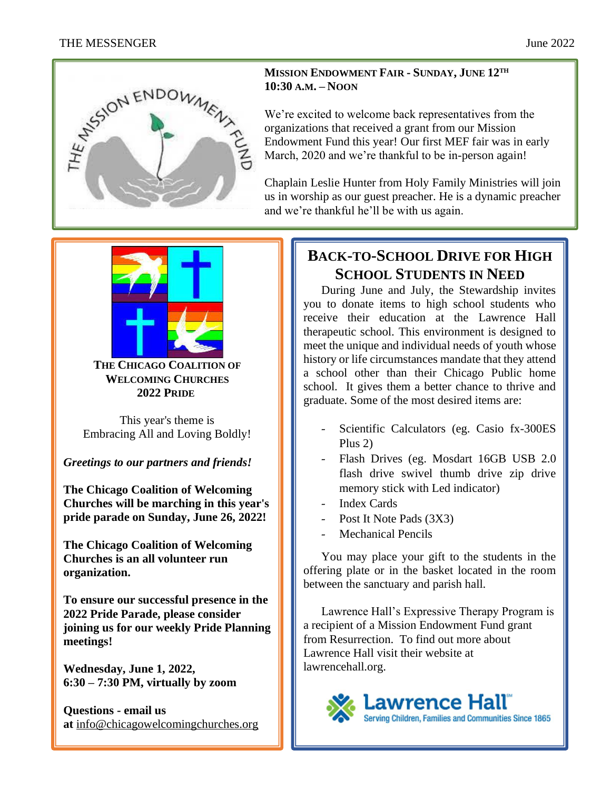

#### **MISSION ENDOWMENT FAIR - SUNDAY, JUNE 12TH 10:30 A.M. – NOON**

We're excited to welcome back representatives from the organizations that received a grant from our Mission Endowment Fund this year! Our first MEF fair was in early March, 2020 and we're thankful to be in-person again!

Chaplain Leslie Hunter from Holy Family Ministries will join us in worship as our guest preacher. He is a dynamic preacher and we're thankful he'll be with us again.



**THE CHICAGO COALITION OF WELCOMING CHURCHES 2022 PRIDE**

This year's theme is Embracing All and Loving Boldly!

*Greetings to our partners and friends!*

**The Chicago Coalition of Welcoming Churches will be marching in this year's pride parade on Sunday, June 26, 2022!**

**The Chicago Coalition of Welcoming Churches is an all volunteer run organization.**

**To ensure our successful presence in the 2022 Pride Parade, please consider joining us for our weekly Pride Planning meetings!**

**Wednesday, June 1, 2022, 6:30 – 7:30 PM, virtually by zoom** 

**Questions - email us at** [info@chicagowelcomingchurches.org](mailto:info@chicagowelcomingchurches.org?subject=From_the_CCWC_Website)

# **BACK-TO-SCHOOL DRIVE FOR HIGH SCHOOL STUDENTS IN NEED**

During June and July, the Stewardship invites you to donate items to high school students who receive their education at the Lawrence Hall therapeutic school. This environment is designed to meet the unique and individual needs of youth whose history or life circumstances mandate that they attend a school other than their Chicago Public home school. It gives them a better chance to thrive and graduate. Some of the most desired items are:

- Scientific Calculators (eg. Casio fx-300ES Plus 2)
- Flash Drives (eg. Mosdart 16GB USB 2.0 flash drive swivel thumb drive zip drive memory stick with Led indicator)
- Index Cards
- Post It Note Pads (3X3)
- Mechanical Pencils

You may place your gift to the students in the offering plate or in the basket located in the room between the sanctuary and parish hall.

Lawrence Hall's Expressive Therapy Program is a recipient of a Mission Endowment Fund grant from Resurrection. To find out more about Lawrence Hall visit their website at lawrencehall.org.

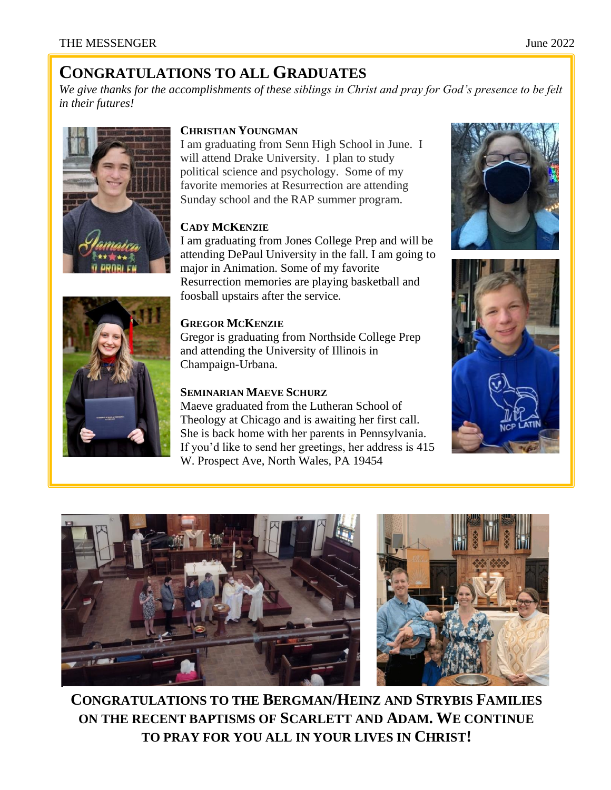## **CONGRATULATIONS TO ALL GRADUATES**

*We give thanks for the accomplishments of these siblings in Christ and pray for God's presence to be felt in their futures!*



#### **CHRISTIAN YOUNGMAN**

I am graduating from Senn High School in June. I will attend Drake University. I plan to study political science and psychology. Some of my favorite memories at Resurrection are attending Sunday school and the RAP summer program.

#### **CADY MCKENZIE**

I am graduating from Jones College Prep and will be attending DePaul University in the fall. I am going to major in Animation. Some of my favorite Resurrection memories are playing basketball and foosball upstairs after the service.

#### **GREGOR MCKENZIE**

Gregor is graduating from Northside College Prep and attending the University of Illinois in Champaign-Urbana.

#### **SEMINARIAN MAEVE SCHURZ**

Maeve graduated from the Lutheran School of Theology at Chicago and is awaiting her first call. She is back home with her parents in Pennsylvania. If you'd like to send her greetings, her address is 415 W. Prospect Ave, North Wales, PA 19454









**CONGRATULATIONS TO THE BERGMAN/HEINZ AND STRYBIS FAMILIES ON THE RECENT BAPTISMS OF SCARLETT AND ADAM. WE CONTINUE TO PRAY FOR YOU ALL IN YOUR LIVES IN CHRIST!**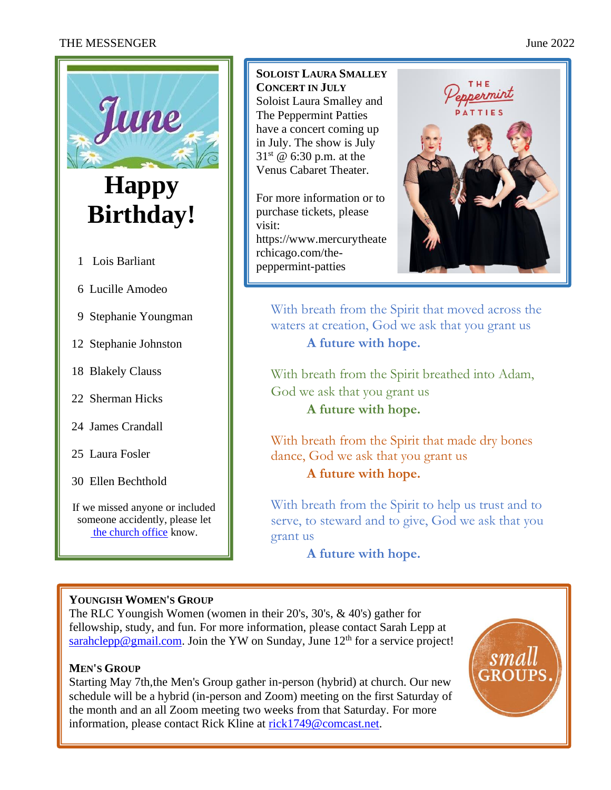#### THE MESSENGER June 2022



30 Ellen Bechthold

If we missed anyone or included someone accidently, please let [the church office](mailto:office@rlclakeview.com?subject=Birthday%20List) know.

**SOLOIST LAURA SMALLEY CONCERT IN JULY**  Soloist Laura Smalley and The Peppermint Patties have a concert coming up in July. The show is July  $31^{st}$  @ 6:30 p.m. at the Venus Cabaret Theater.

For more information or to purchase tickets, please visit: https://www.mercurytheate rchicago.com/thepeppermint-patties



With breath from the Spirit that moved across the waters at creation, God we ask that you grant us **A future with hope.** 

With breath from the Spirit breathed into Adam, God we ask that you grant us **A future with hope.** 

With breath from the Spirit that made dry bones dance, God we ask that you grant us **A future with hope.** 

With breath from the Spirit to help us trust and to serve, to steward and to give, God we ask that you grant us

**A future with hope.** 

#### **YOUNGISH WOMEN'S GROUP**

The RLC Youngish Women (women in their 20's, 30's, & 40's) gather for fellowship, study, and fun. For more information, please contact Sarah Lepp at [sarahclepp@gmail.com.](mailto:sarahclepp@gmail.com) Join the YW on Sunday, June  $12<sup>th</sup>$  for a service project!

#### **MEN'S GROUP**

Starting May 7th, the Men's Group gather in-person (hybrid) at church. Our new schedule will be a hybrid (in-person and Zoom) meeting on the first Saturday of the month and an all Zoom meeting two weeks from that Saturday. For more information, please contact Rick Kline at [rick1749@comcast.net.](mailto:rick1749@comcast.net)

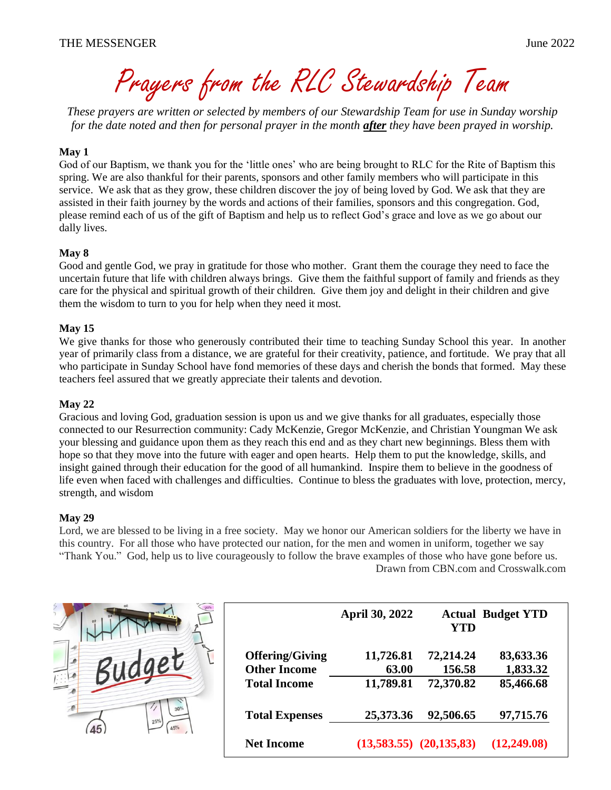Prayers from the RLC Stewardship Team

*These prayers are written or selected by members of our Stewardship Team for use in Sunday worship for the date noted and then for personal prayer in the month after they have been prayed in worship.*

#### **May 1**

God of our Baptism, we thank you for the 'little ones' who are being brought to RLC for the Rite of Baptism this spring. We are also thankful for their parents, sponsors and other family members who will participate in this service. We ask that as they grow, these children discover the joy of being loved by God. We ask that they are assisted in their faith journey by the words and actions of their families, sponsors and this congregation. God, please remind each of us of the gift of Baptism and help us to reflect God's grace and love as we go about our dally lives.

#### **May 8**

Good and gentle God, we pray in gratitude for those who mother. Grant them the courage they need to face the uncertain future that life with children always brings. Give them the faithful support of family and friends as they care for the physical and spiritual growth of their children. Give them joy and delight in their children and give them the wisdom to turn to you for help when they need it most.

#### **May 15**

We give thanks for those who generously contributed their time to teaching Sunday School this year. In another year of primarily class from a distance, we are grateful for their creativity, patience, and fortitude. We pray that all who participate in Sunday School have fond memories of these days and cherish the bonds that formed. May these teachers feel assured that we greatly appreciate their talents and devotion.

#### **May 22**

Gracious and loving God, graduation session is upon us and we give thanks for all graduates, especially those connected to our Resurrection community: Cady McKenzie, Gregor McKenzie, and Christian Youngman We ask your blessing and guidance upon them as they reach this end and as they chart new beginnings. Bless them with hope so that they move into the future with eager and open hearts. Help them to put the knowledge, skills, and insight gained through their education for the good of all humankind. Inspire them to believe in the goodness of life even when faced with challenges and difficulties. Continue to bless the graduates with love, protection, mercy, strength, and wisdom

#### **May 29**

Lord, we are blessed to be living in a free society. May we honor our American soldiers for the liberty we have in this country. For all those who have protected our nation, for the men and women in uniform, together we say "Thank You." God, help us to live courageously to follow the brave examples of those who have gone before us. Drawn from CBN.com and Crosswalk.com



|                        | April 30, 2022 | <b>YTD</b>                  | <b>Actual Budget YTD</b> |
|------------------------|----------------|-----------------------------|--------------------------|
| <b>Offering/Giving</b> | 11,726.81      | 72,214.24                   | 83,633.36                |
| <b>Other Income</b>    | 63.00          | 156.58                      | 1,833.32                 |
| <b>Total Income</b>    | 11,789.81      | 72,370.82                   | 85,466.68                |
| <b>Total Expenses</b>  | 25,373.36      | 92,506.65                   | 97,715.76                |
| <b>Net Income</b>      |                | $(13,583.55)$ $(20,135,83)$ | (12,249.08)              |